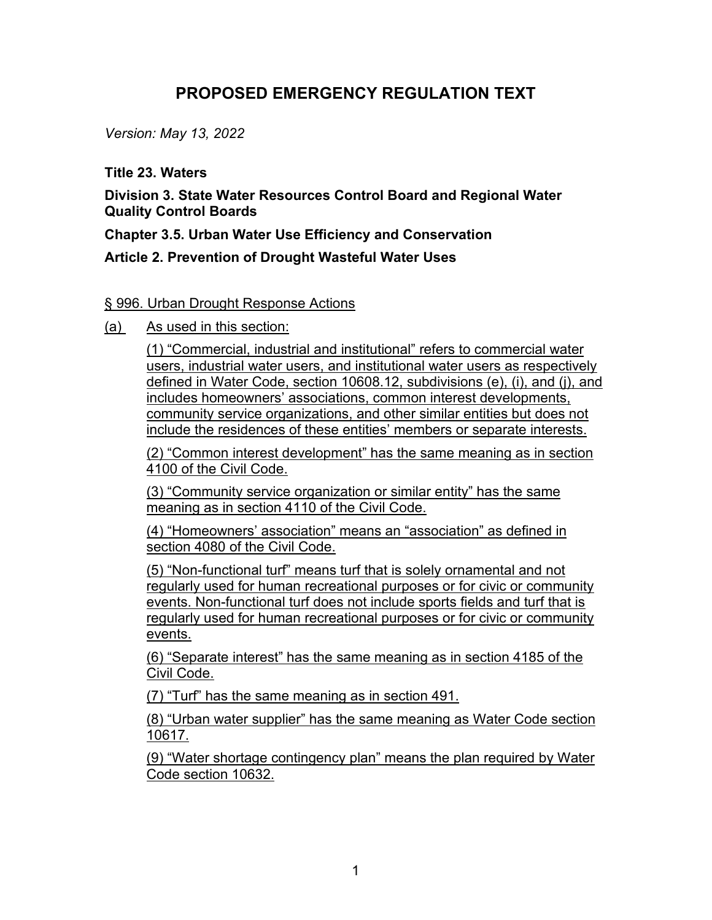## **PROPOSED EMERGENCY REGULATION TEXT**

*Version: May 13, 2022*

## **Title 23. Waters**

**Division 3. State Water Resources Control Board and Regional Water Quality Control Boards**

**Chapter 3.5. Urban Water Use Efficiency and Conservation**

## **Article 2. Prevention of Drought Wasteful Water Uses**

## § 996. Urban Drought Response Actions

(a) As used in this section:

(1) "Commercial, industrial and institutional" refers to commercial water users, industrial water users, and institutional water users as respectively defined in Water Code, section 10608.12, subdivisions (e), (i), and (j), and includes homeowners' associations, common interest developments, community service organizations, and other similar entities but does not include the residences of these entities' members or separate interests.

(2) "Common interest development" has the same meaning as in section 4100 of the Civil Code.

(3) "Community service organization or similar entity" has the same meaning as in section 4110 of the Civil Code.

(4) "Homeowners' association" means an "association" as defined in section 4080 of the Civil Code.

(5) "Non-functional turf" means turf that is solely ornamental and not regularly used for human recreational purposes or for civic or community events. Non-functional turf does not include sports fields and turf that is regularly used for human recreational purposes or for civic or community events.

(6) "Separate interest" has the same meaning as in section 4185 of the Civil Code.

(7) "Turf" has the same meaning as in section 491.

(8) "Urban water supplier" has the same meaning as Water Code section 10617.

(9) "Water shortage contingency plan" means the plan required by Water Code section 10632.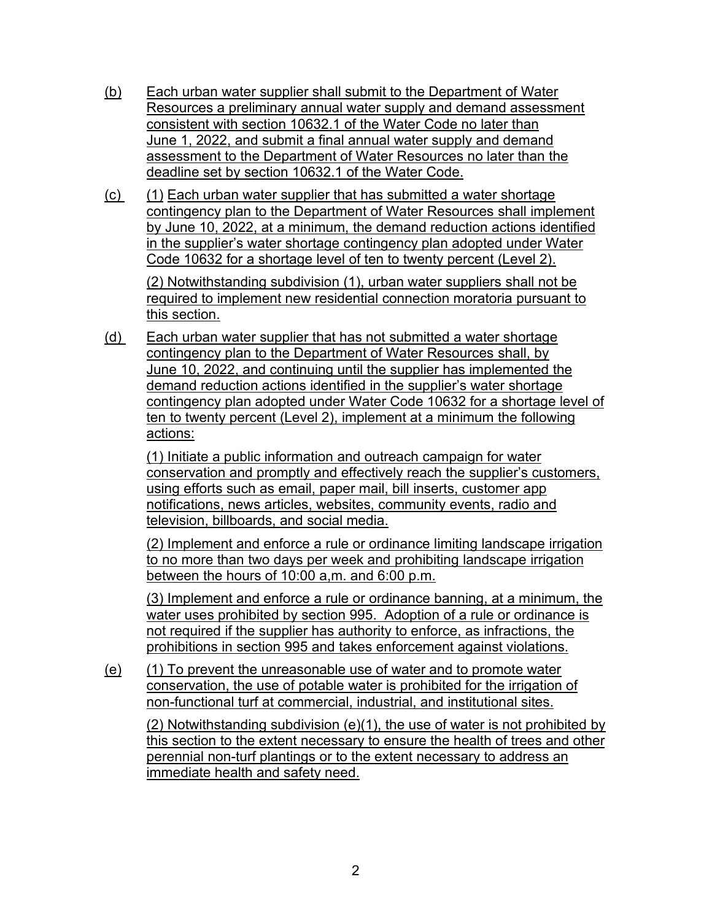- (b) Each urban water supplier shall submit to the Department of Water Resources a preliminary annual water supply and demand assessment consistent with section 10632.1 of the Water Code no later than June 1, 2022, and submit a final annual water supply and demand assessment to the Department of Water Resources no later than the deadline set by section 10632.1 of the Water Code.
- (c) (1) Each urban water supplier that has submitted a water shortage contingency plan to the Department of Water Resources shall implement by June 10, 2022, at a minimum, the demand reduction actions identified in the supplier's water shortage contingency plan adopted under Water Code 10632 for a shortage level of ten to twenty percent (Level 2).

(2) Notwithstanding subdivision (1), urban water suppliers shall not be required to implement new residential connection moratoria pursuant to this section.

(d) Each urban water supplier that has not submitted a water shortage contingency plan to the Department of Water Resources shall, by June 10, 2022, and continuing until the supplier has implemented the demand reduction actions identified in the supplier's water shortage contingency plan adopted under Water Code 10632 for a shortage level of ten to twenty percent (Level 2), implement at a minimum the following actions:

(1) Initiate a public information and outreach campaign for water conservation and promptly and effectively reach the supplier's customers, using efforts such as email, paper mail, bill inserts, customer app notifications, news articles, websites, community events, radio and television, billboards, and social media.

(2) Implement and enforce a rule or ordinance limiting landscape irrigation to no more than two days per week and prohibiting landscape irrigation between the hours of 10:00 a,m. and 6:00 p.m.

(3) Implement and enforce a rule or ordinance banning, at a minimum, the water uses prohibited by section 995. Adoption of a rule or ordinance is not required if the supplier has authority to enforce, as infractions, the prohibitions in section 995 and takes enforcement against violations.

(e) (1) To prevent the unreasonable use of water and to promote water conservation, the use of potable water is prohibited for the irrigation of non-functional turf at commercial, industrial, and institutional sites.

(2) Notwithstanding subdivision (e)(1), the use of water is not prohibited by this section to the extent necessary to ensure the health of trees and other perennial non-turf plantings or to the extent necessary to address an immediate health and safety need.